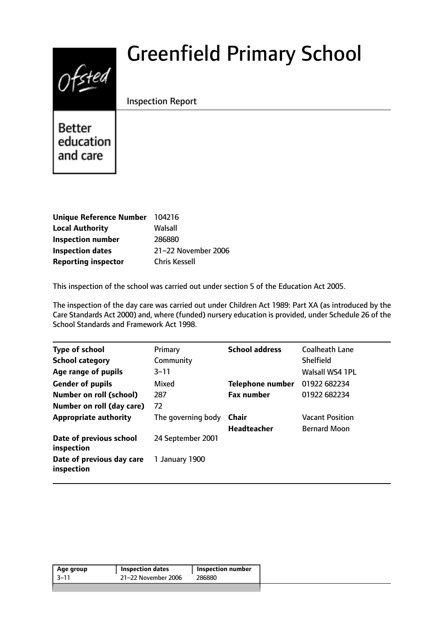# $0$ fsted

# Greenfield Primary School

Inspection Report

**Better** education and care

| Unique Reference Number 104216 |                      |
|--------------------------------|----------------------|
| <b>Local Authority</b>         | Walsall              |
| <b>Inspection number</b>       | 286880               |
| <b>Inspection dates</b>        | 21-22 November 2006  |
| <b>Reporting inspector</b>     | <b>Chris Kessell</b> |

This inspection of the school was carried out under section 5 of the Education Act 2005.

The inspection of the day care was carried out under Children Act 1989: Part XA (as introduced by the Care Standards Act 2000) and, where (funded) nursery education is provided, under Schedule 26 of the School Standards and Framework Act 1998.

| <b>Type of school</b>                   | Primary            | <b>School address</b>   | <b>Coalheath Lane</b>  |
|-----------------------------------------|--------------------|-------------------------|------------------------|
| <b>School category</b>                  | Community          |                         | Shelfield              |
| Age range of pupils                     | $3 - 11$           |                         | Walsall WS4 1PL        |
| <b>Gender of pupils</b>                 | Mixed              | <b>Telephone number</b> | 01922 682234           |
| <b>Number on roll (school)</b>          | 287                | <b>Fax number</b>       | 01922 682234           |
| Number on roll (day care)               | 72                 |                         |                        |
| <b>Appropriate authority</b>            | The governing body | Chair                   | <b>Vacant Position</b> |
|                                         |                    | <b>Headteacher</b>      | <b>Bernard Moon</b>    |
| Date of previous school<br>inspection   | 24 September 2001  |                         |                        |
| Date of previous day care<br>inspection | 1 January 1900     |                         |                        |
|                                         |                    |                         |                        |

|       |                     | Inspection number |
|-------|---------------------|-------------------|
| -3–11 | 21-22 November 2006 | 286880            |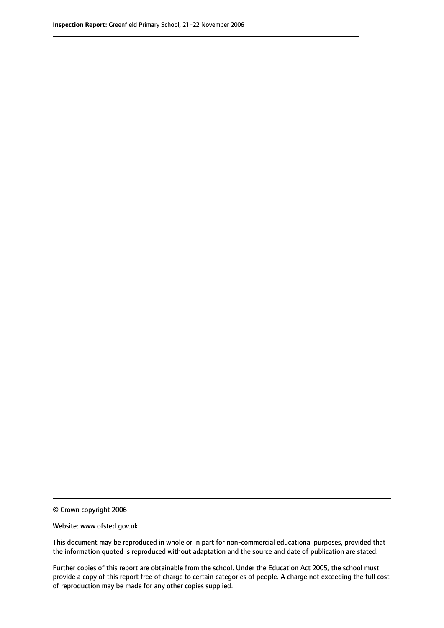© Crown copyright 2006

Website: www.ofsted.gov.uk

This document may be reproduced in whole or in part for non-commercial educational purposes, provided that the information quoted is reproduced without adaptation and the source and date of publication are stated.

Further copies of this report are obtainable from the school. Under the Education Act 2005, the school must provide a copy of this report free of charge to certain categories of people. A charge not exceeding the full cost of reproduction may be made for any other copies supplied.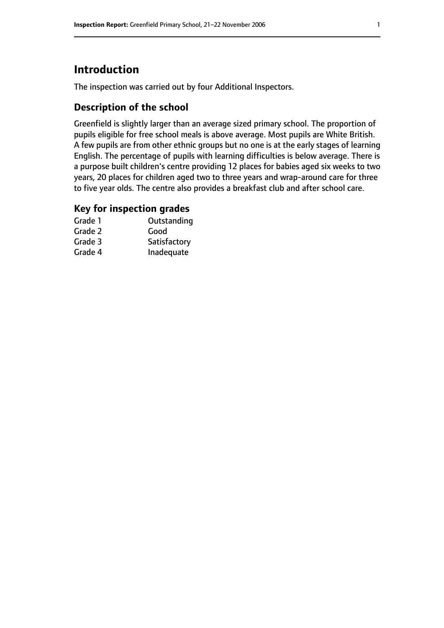# **Introduction**

The inspection was carried out by four Additional Inspectors.

# **Description of the school**

Greenfield is slightly larger than an average sized primary school. The proportion of pupils eligible for free school meals is above average. Most pupils are White British. A few pupils are from other ethnic groups but no one is at the early stages of learning English. The percentage of pupils with learning difficulties is below average. There is a purpose built children's centre providing 12 places for babies aged six weeks to two years, 20 places for children aged two to three years and wrap-around care for three to five year olds. The centre also provides a breakfast club and after school care.

## **Key for inspection grades**

| Grade 1 | Outstanding  |
|---------|--------------|
| Grade 2 | Good         |
| Grade 3 | Satisfactory |
| Grade 4 | Inadequate   |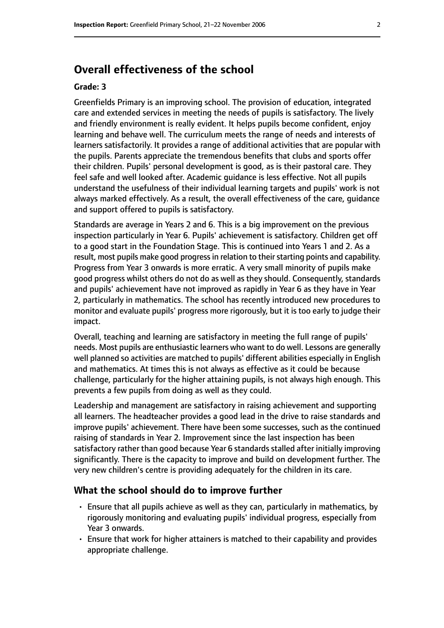# **Overall effectiveness of the school**

#### **Grade: 3**

Greenfields Primary is an improving school. The provision of education, integrated care and extended services in meeting the needs of pupils is satisfactory. The lively and friendly environment is really evident. It helps pupils become confident, enjoy learning and behave well. The curriculum meets the range of needs and interests of learners satisfactorily. It provides a range of additional activities that are popular with the pupils. Parents appreciate the tremendous benefits that clubs and sports offer their children. Pupils' personal development is good, as is their pastoral care. They feel safe and well looked after. Academic guidance is less effective. Not all pupils understand the usefulness of their individual learning targets and pupils' work is not always marked effectively. As a result, the overall effectiveness of the care, guidance and support offered to pupils is satisfactory.

Standards are average in Years 2 and 6. This is a big improvement on the previous inspection particularly in Year 6. Pupils' achievement is satisfactory. Children get off to a good start in the Foundation Stage. This is continued into Years 1 and 2. As a result, most pupils make good progress in relation to their starting points and capability. Progress from Year 3 onwards is more erratic. A very small minority of pupils make good progress whilst others do not do as well as they should. Consequently, standards and pupils' achievement have not improved as rapidly in Year 6 as they have in Year 2, particularly in mathematics. The school has recently introduced new procedures to monitor and evaluate pupils' progress more rigorously, but it is too early to judge their impact.

Overall, teaching and learning are satisfactory in meeting the full range of pupils' needs. Most pupils are enthusiastic learners who want to do well. Lessons are generally well planned so activities are matched to pupils' different abilities especially in English and mathematics. At times this is not always as effective as it could be because challenge, particularly for the higher attaining pupils, is not always high enough. This prevents a few pupils from doing as well as they could.

Leadership and management are satisfactory in raising achievement and supporting all learners. The headteacher provides a good lead in the drive to raise standards and improve pupils' achievement. There have been some successes, such as the continued raising of standards in Year 2. Improvement since the last inspection has been satisfactory rather than good because Year 6 standards stalled after initially improving significantly. There is the capacity to improve and build on development further. The very new children's centre is providing adequately for the children in its care.

#### **What the school should do to improve further**

- Ensure that all pupils achieve as well as they can, particularly in mathematics, by rigorously monitoring and evaluating pupils' individual progress, especially from Year 3 onwards.
- Ensure that work for higher attainers is matched to their capability and provides appropriate challenge.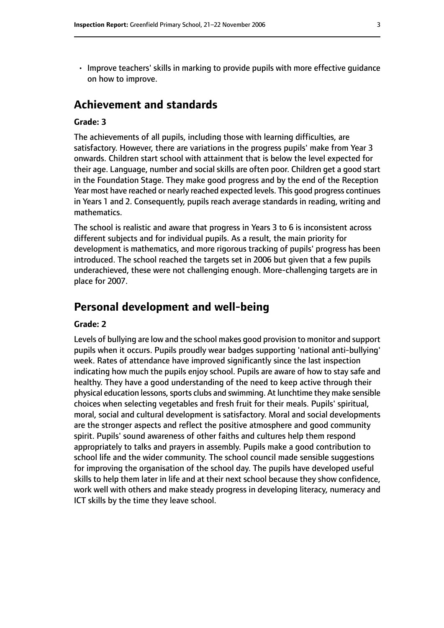• Improve teachers' skills in marking to provide pupils with more effective guidance on how to improve.

# **Achievement and standards**

#### **Grade: 3**

The achievements of all pupils, including those with learning difficulties, are satisfactory. However, there are variations in the progress pupils' make from Year 3 onwards. Children start school with attainment that is below the level expected for their age. Language, number and social skills are often poor. Children get a good start in the Foundation Stage. They make good progress and by the end of the Reception Year most have reached or nearly reached expected levels. This good progress continues in Years 1 and 2. Consequently, pupils reach average standards in reading, writing and mathematics.

The school is realistic and aware that progress in Years 3 to 6 is inconsistent across different subjects and for individual pupils. As a result, the main priority for development is mathematics, and more rigorous tracking of pupils' progress has been introduced. The school reached the targets set in 2006 but given that a few pupils underachieved, these were not challenging enough. More-challenging targets are in place for 2007.

# **Personal development and well-being**

#### **Grade: 2**

Levels of bullying are low and the school makes good provision to monitor and support pupils when it occurs. Pupils proudly wear badges supporting 'national anti-bullying' week. Rates of attendance have improved significantly since the last inspection indicating how much the pupils enjoy school. Pupils are aware of how to stay safe and healthy. They have a good understanding of the need to keep active through their physical education lessons, sports clubs and swimming. At lunchtime they make sensible choices when selecting vegetables and fresh fruit for their meals. Pupils' spiritual, moral, social and cultural development is satisfactory. Moral and social developments are the stronger aspects and reflect the positive atmosphere and good community spirit. Pupils' sound awareness of other faiths and cultures help them respond appropriately to talks and prayers in assembly. Pupils make a good contribution to school life and the wider community. The school council made sensible suggestions for improving the organisation of the school day. The pupils have developed useful skills to help them later in life and at their next school because they show confidence, work well with others and make steady progress in developing literacy, numeracy and ICT skills by the time they leave school.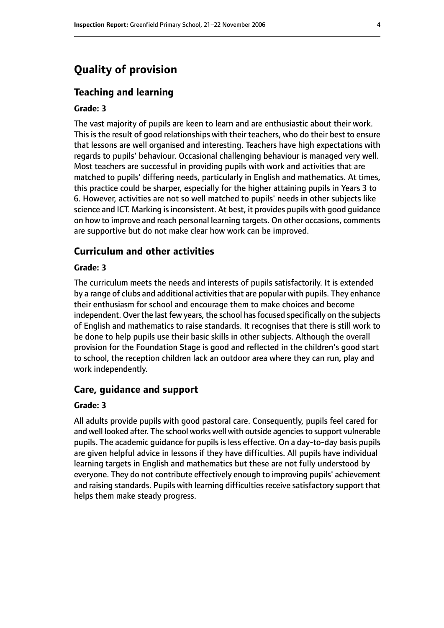# **Quality of provision**

#### **Teaching and learning**

#### **Grade: 3**

The vast majority of pupils are keen to learn and are enthusiastic about their work. This is the result of good relationships with their teachers, who do their best to ensure that lessons are well organised and interesting. Teachers have high expectations with regards to pupils' behaviour. Occasional challenging behaviour is managed very well. Most teachers are successful in providing pupils with work and activities that are matched to pupils' differing needs, particularly in English and mathematics. At times, this practice could be sharper, especially for the higher attaining pupils in Years 3 to 6. However, activities are not so well matched to pupils' needs in other subjects like science and ICT. Marking is inconsistent. At best, it provides pupils with good quidance on how to improve and reach personal learning targets. On other occasions, comments are supportive but do not make clear how work can be improved.

#### **Curriculum and other activities**

#### **Grade: 3**

The curriculum meets the needs and interests of pupils satisfactorily. It is extended by a range of clubs and additional activities that are popular with pupils. They enhance their enthusiasm for school and encourage them to make choices and become independent. Over the last few years, the school has focused specifically on the subjects of English and mathematics to raise standards. It recognises that there is still work to be done to help pupils use their basic skills in other subjects. Although the overall provision for the Foundation Stage is good and reflected in the children's good start to school, the reception children lack an outdoor area where they can run, play and work independently.

#### **Care, guidance and support**

#### **Grade: 3**

All adults provide pupils with good pastoral care. Consequently, pupils feel cared for and well looked after. The school works well with outside agencies to support vulnerable pupils. The academic guidance for pupils is less effective. On a day-to-day basis pupils are given helpful advice in lessons if they have difficulties. All pupils have individual learning targets in English and mathematics but these are not fully understood by everyone. They do not contribute effectively enough to improving pupils' achievement and raising standards. Pupils with learning difficulties receive satisfactory support that helps them make steady progress.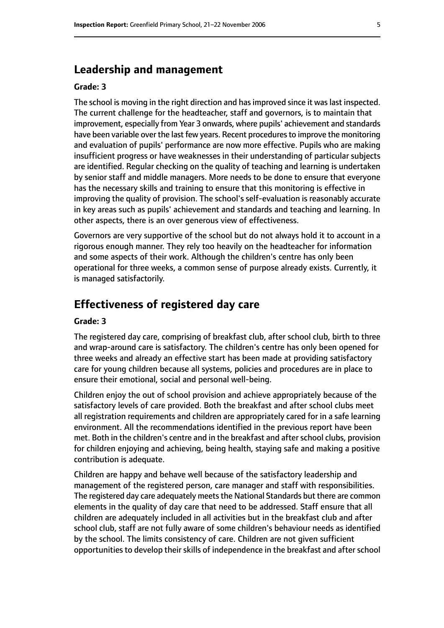#### **Leadership and management**

#### **Grade: 3**

The school is moving in the right direction and has improved since it was last inspected. The current challenge for the headteacher, staff and governors, is to maintain that improvement, especially from Year 3 onwards, where pupils' achievement and standards have been variable over the last few years. Recent procedures to improve the monitoring and evaluation of pupils' performance are now more effective. Pupils who are making insufficient progress or have weaknesses in their understanding of particular subjects are identified. Regular checking on the quality of teaching and learning is undertaken by senior staff and middle managers. More needs to be done to ensure that everyone has the necessary skills and training to ensure that this monitoring is effective in improving the quality of provision. The school's self-evaluation is reasonably accurate in key areas such as pupils' achievement and standards and teaching and learning. In other aspects, there is an over generous view of effectiveness.

Governors are very supportive of the school but do not always hold it to account in a rigorous enough manner. They rely too heavily on the headteacher for information and some aspects of their work. Although the children's centre has only been operational for three weeks, a common sense of purpose already exists. Currently, it is managed satisfactorily.

# **Effectiveness of registered day care**

#### **Grade: 3**

The registered day care, comprising of breakfast club, after school club, birth to three and wrap-around care is satisfactory. The children's centre has only been opened for three weeks and already an effective start has been made at providing satisfactory care for young children because all systems, policies and procedures are in place to ensure their emotional, social and personal well-being.

Children enjoy the out of school provision and achieve appropriately because of the satisfactory levels of care provided. Both the breakfast and after school clubs meet all registration requirements and children are appropriately cared for in a safe learning environment. All the recommendations identified in the previous report have been met. Both in the children's centre and in the breakfast and after school clubs, provision for children enjoying and achieving, being health, staying safe and making a positive contribution is adequate.

Children are happy and behave well because of the satisfactory leadership and management of the registered person, care manager and staff with responsibilities. The registered day care adequately meets the National Standards but there are common elements in the quality of day care that need to be addressed. Staff ensure that all children are adequately included in all activities but in the breakfast club and after school club, staff are not fully aware of some children's behaviour needs as identified by the school. The limits consistency of care. Children are not given sufficient opportunities to develop their skills of independence in the breakfast and after school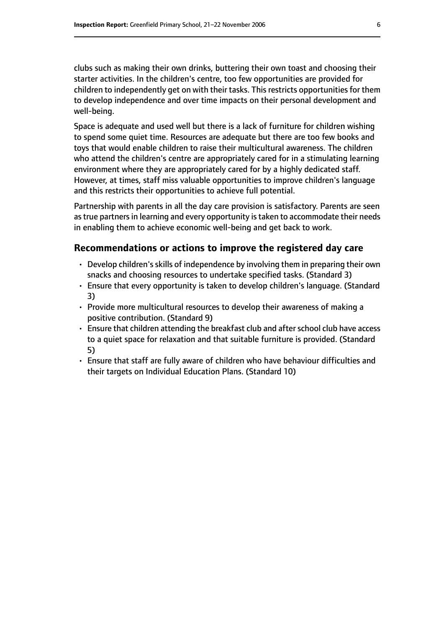clubs such as making their own drinks, buttering their own toast and choosing their starter activities. In the children's centre, too few opportunities are provided for children to independently get on with their tasks. This restricts opportunities for them to develop independence and over time impacts on their personal development and well-being.

Space is adequate and used well but there is a lack of furniture for children wishing to spend some quiet time. Resources are adequate but there are too few books and toys that would enable children to raise their multicultural awareness. The children who attend the children's centre are appropriately cared for in a stimulating learning environment where they are appropriately cared for by a highly dedicated staff. However, at times, staff miss valuable opportunities to improve children's language and this restricts their opportunities to achieve full potential.

Partnership with parents in all the day care provision is satisfactory. Parents are seen as true partners in learning and every opportunity is taken to accommodate their needs in enabling them to achieve economic well-being and get back to work.

#### **Recommendations or actions to improve the registered day care**

- $\cdot$  Develop children's skills of independence by involving them in preparing their own snacks and choosing resources to undertake specified tasks. (Standard 3)
- Ensure that every opportunity is taken to develop children's language. (Standard 3)
- Provide more multicultural resources to develop their awareness of making a positive contribution. (Standard 9)
- Ensure that children attending the breakfast club and after school club have access to a quiet space for relaxation and that suitable furniture is provided. (Standard 5)
- Ensure that staff are fully aware of children who have behaviour difficulties and their targets on Individual Education Plans. (Standard 10)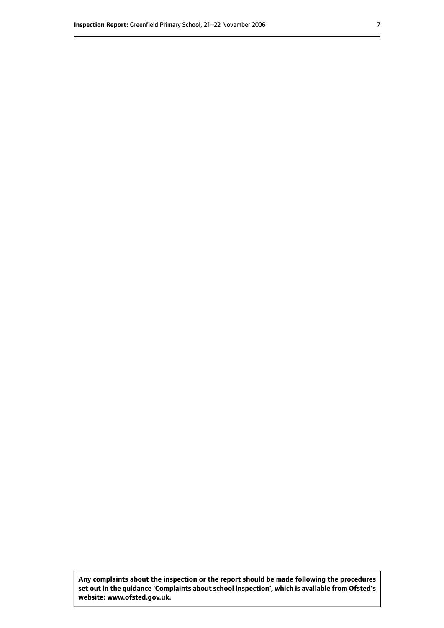**Any complaints about the inspection or the report should be made following the procedures set out inthe guidance 'Complaints about school inspection', whichis available from Ofsted's website: www.ofsted.gov.uk.**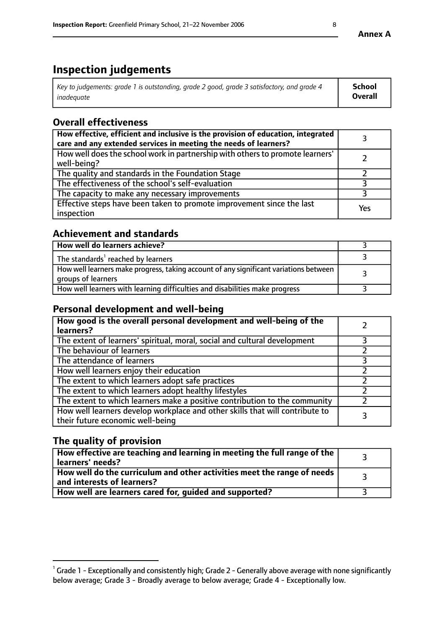# **Inspection judgements**

| Key to judgements: grade 1 is outstanding, grade 2 good, grade 3 satisfactory, and grade 4 | School         |
|--------------------------------------------------------------------------------------------|----------------|
| inadeauate                                                                                 | <b>Overall</b> |

# **Overall effectiveness**

| How effective, efficient and inclusive is the provision of education, integrated<br>care and any extended services in meeting the needs of learners? |     |
|------------------------------------------------------------------------------------------------------------------------------------------------------|-----|
| How well does the school work in partnership with others to promote learners'<br>well-being?                                                         |     |
| The quality and standards in the Foundation Stage                                                                                                    |     |
| The effectiveness of the school's self-evaluation                                                                                                    |     |
| The capacity to make any necessary improvements                                                                                                      |     |
| Effective steps have been taken to promote improvement since the last<br>inspection                                                                  | Yes |

## **Achievement and standards**

| How well do learners achieve?                                                                               |  |
|-------------------------------------------------------------------------------------------------------------|--|
| The standards <sup>1</sup> reached by learners                                                              |  |
| How well learners make progress, taking account of any significant variations between<br>groups of learners |  |
| How well learners with learning difficulties and disabilities make progress                                 |  |

# **Personal development and well-being**

| How good is the overall personal development and well-being of the<br>learners?                                  |  |
|------------------------------------------------------------------------------------------------------------------|--|
| The extent of learners' spiritual, moral, social and cultural development                                        |  |
| The behaviour of learners                                                                                        |  |
| The attendance of learners                                                                                       |  |
| How well learners enjoy their education                                                                          |  |
| The extent to which learners adopt safe practices                                                                |  |
| The extent to which learners adopt healthy lifestyles                                                            |  |
| The extent to which learners make a positive contribution to the community                                       |  |
| How well learners develop workplace and other skills that will contribute to<br>their future economic well-being |  |

# **The quality of provision**

| $\Box$ How effective are teaching and learning in meeting the full range of the $\Box$<br>  learners' needs?        |  |
|---------------------------------------------------------------------------------------------------------------------|--|
| $\mid$ How well do the curriculum and other activities meet the range of needs<br>$\mid$ and interests of learners? |  |
| How well are learners cared for, guided and supported?                                                              |  |

 $^1$  Grade 1 - Exceptionally and consistently high; Grade 2 - Generally above average with none significantly below average; Grade 3 - Broadly average to below average; Grade 4 - Exceptionally low.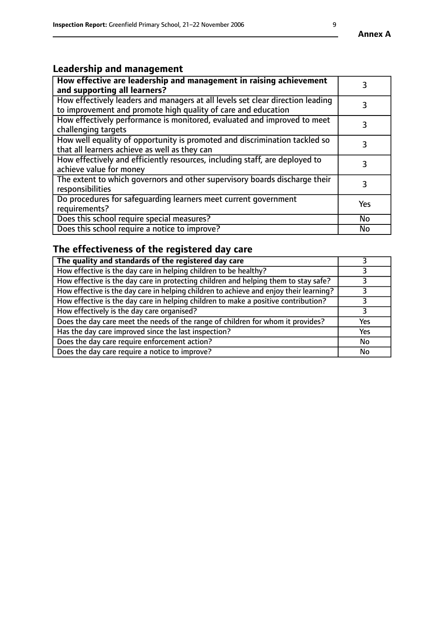# **Leadership and management**

| How effective are leadership and management in raising achievement<br>and supporting all learners?                                              | 3   |
|-------------------------------------------------------------------------------------------------------------------------------------------------|-----|
| How effectively leaders and managers at all levels set clear direction leading<br>to improvement and promote high quality of care and education |     |
| How effectively performance is monitored, evaluated and improved to meet<br>challenging targets                                                 | 3   |
| How well equality of opportunity is promoted and discrimination tackled so<br>that all learners achieve as well as they can                     |     |
| How effectively and efficiently resources, including staff, are deployed to<br>achieve value for money                                          | 3   |
| The extent to which governors and other supervisory boards discharge their<br>responsibilities                                                  | 3   |
| Do procedures for safequarding learners meet current government<br>requirements?                                                                | Yes |
| Does this school require special measures?                                                                                                      | No  |
| Does this school require a notice to improve?                                                                                                   | No  |

# **The effectiveness of the registered day care**

| The quality and standards of the registered day care                                   |     |
|----------------------------------------------------------------------------------------|-----|
| How effective is the day care in helping children to be healthy?                       |     |
| How effective is the day care in protecting children and helping them to stay safe?    |     |
| How effective is the day care in helping children to achieve and enjoy their learning? |     |
| How effective is the day care in helping children to make a positive contribution?     |     |
| How effectively is the day care organised?                                             |     |
| Does the day care meet the needs of the range of children for whom it provides?        | Yes |
| Has the day care improved since the last inspection?                                   | Yes |
| Does the day care require enforcement action?                                          | No  |
| Does the day care require a notice to improve?                                         | No  |